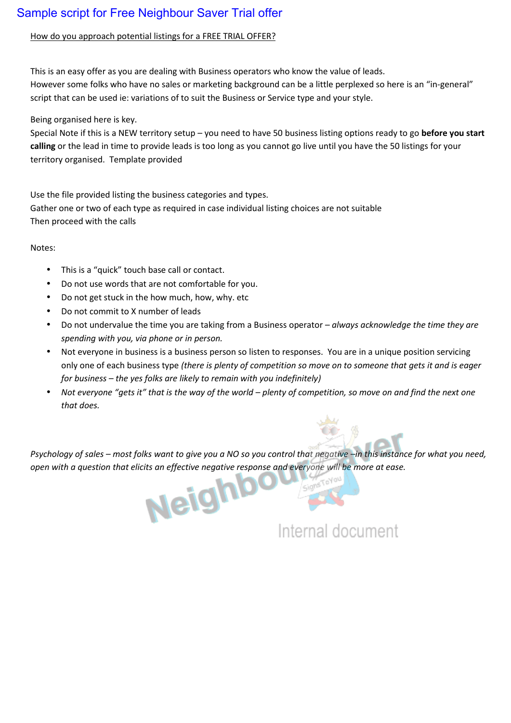# Sample script for Free Neighbour Saver Trial offer

## How do you approach potential listings for a FREE TRIAL OFFER?

This is an easy offer as you are dealing with Business operators who know the value of leads. However some folks who have no sales or marketing background can be a little perplexed so here is an "in-general" script that can be used ie: variations of to suit the Business or Service type and your style.

Being organised here is key.

However some folks who have no sales or marketing background can be a little perplexed so here is an "in-general"<br>script that can be used ie: variations of to suit the Business or Service type and your style.<br>Being organis script that can be used ie: variations of to suit the Business or Service type and your style.<br>Being organised here is key.<br>Special Note if this is a NEW territory setup – you need to have 50 business listing options ready Being organised here is key.<br>Special Note if this is a NEW territory se<br>calling or the lead in time to provide lea<br>territory organised. Template provided

Use the file provided listing the business categories and types. territory organised. Template provided<br>Use the file provided listing the business categories and types.<br>Gather one or two of each type as required in case individual listing choices are not suitable Then proceed with the calls

### Notes:

- This is a "quick" touch base call or contact.
- Do not use words that are not comfortable for you.
- Do not get stuck in the how much, how, why. etc
- Do not commit to X number of leads
- Do not undervalue the time you are taking from a Business operator *– always acknowledge the time they are spending with you, via phone or in person.*
- Not everyone in business is a business person so listen to responses. You are in a unique position servicing only one of each business type *(there is plenty of competition so move on to someone that gets it and is eager for business – the yes folks are likely to remain with you indefinitely)*
- *Not everyone "gets it" that is the way of the world – plenty of competition, so move on and find the next one that does.*

*Psychology of sales – most folks want to give you a NO so you control that negative –in this instance for what you need, open* with a question that elicits an effective negative response and everyone will be more at ease.<br> *out the more at ease.* 

Internal document